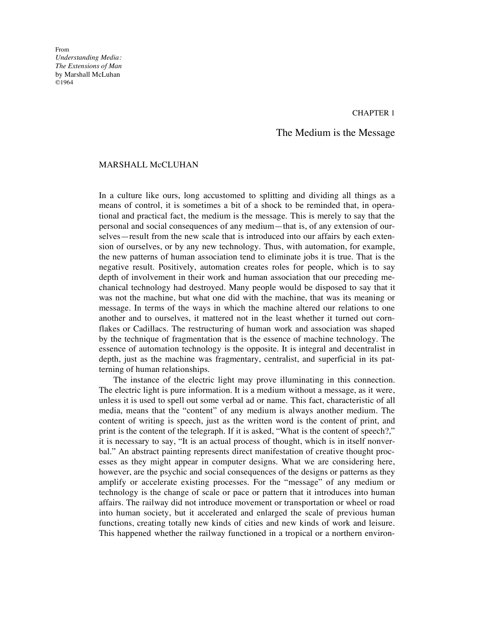From *Understanding Media: The Extensions of Man* by Marshall McLuhan ©1964

## CHAPTER 1

## The Medium is the Message

## MARSHALL McCLUHAN

In a culture like ours, long accustomed to splitting and dividing all things as a means of control, it is sometimes a bit of a shock to be reminded that, in operational and practical fact, the medium is the message. This is merely to say that the personal and social consequences of any medium—that is, of any extension of ourselves—result from the new scale that is introduced into our affairs by each extension of ourselves, or by any new technology. Thus, with automation, for example, the new patterns of human association tend to eliminate jobs it is true. That is the negative result. Positively, automation creates roles for people, which is to say depth of involvement in their work and human association that our preceding mechanical technology had destroyed. Many people would be disposed to say that it was not the machine, but what one did with the machine, that was its meaning or message. In terms of the ways in which the machine altered our relations to one another and to ourselves, it mattered not in the least whether it turned out cornflakes or Cadillacs. The restructuring of human work and association was shaped by the technique of fragmentation that is the essence of machine technology. The essence of automation technology is the opposite. It is integral and decentralist in depth, just as the machine was fragmentary, centralist, and superficial in its patterning of human relationships.

The instance of the electric light may prove illuminating in this connection. The electric light is pure information. It is a medium without a message, as it were, unless it is used to spell out some verbal ad or name. This fact, characteristic of all media, means that the "content" of any medium is always another medium. The content of writing is speech, just as the written word is the content of print, and print is the content of the telegraph. If it is asked, "What is the content of speech?," it is necessary to say, "It is an actual process of thought, which is in itself nonverbal." An abstract painting represents direct manifestation of creative thought processes as they might appear in computer designs. What we are considering here, however, are the psychic and social consequences of the designs or patterns as they amplify or accelerate existing processes. For the "message" of any medium or technology is the change of scale or pace or pattern that it introduces into human affairs. The railway did not introduce movement or transportation or wheel or road into human society, but it accelerated and enlarged the scale of previous human functions, creating totally new kinds of cities and new kinds of work and leisure. This happened whether the railway functioned in a tropical or a northern environ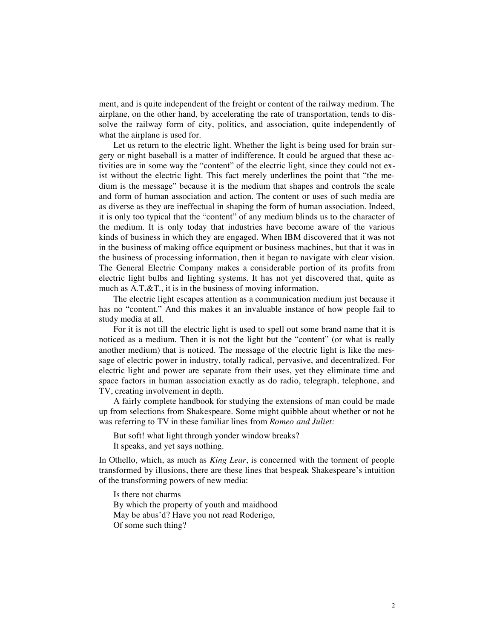ment, and is quite independent of the freight or content of the railway medium. The airplane, on the other hand, by accelerating the rate of transportation, tends to dissolve the railway form of city, politics, and association, quite independently of what the airplane is used for.

Let us return to the electric light. Whether the light is being used for brain surgery or night baseball is a matter of indifference. It could be argued that these activities are in some way the "content" of the electric light, since they could not exist without the electric light. This fact merely underlines the point that "the medium is the message" because it is the medium that shapes and controls the scale and form of human association and action. The content or uses of such media are as diverse as they are ineffectual in shaping the form of human association. Indeed, it is only too typical that the "content" of any medium blinds us to the character of the medium. It is only today that industries have become aware of the various kinds of business in which they are engaged. When IBM discovered that it was not in the business of making office equipment or business machines, but that it was in the business of processing information, then it began to navigate with clear vision. The General Electric Company makes a considerable portion of its profits from electric light bulbs and lighting systems. It has not yet discovered that, quite as much as A.T.&T., it is in the business of moving information.

The electric light escapes attention as a communication medium just because it has no "content." And this makes it an invaluable instance of how people fail to study media at all.

For it is not till the electric light is used to spell out some brand name that it is noticed as a medium. Then it is not the light but the "content" (or what is really another medium) that is noticed. The message of the electric light is like the message of electric power in industry, totally radical, pervasive, and decentralized. For electric light and power are separate from their uses, yet they eliminate time and space factors in human association exactly as do radio, telegraph, telephone, and TV, creating involvement in depth.

A fairly complete handbook for studying the extensions of man could be made up from selections from Shakespeare. Some might quibble about whether or not he was referring to TV in these familiar lines from *Romeo and Juliet:*

But soft! what light through yonder window breaks? It speaks, and yet says nothing.

In Othello, which, as much as *King Lear*, is concerned with the torment of people transformed by illusions, there are these lines that bespeak Shakespeare's intuition of the transforming powers of new media:

Is there not charms By which the property of youth and maidhood May be abus'd? Have you not read Roderigo, Of some such thing?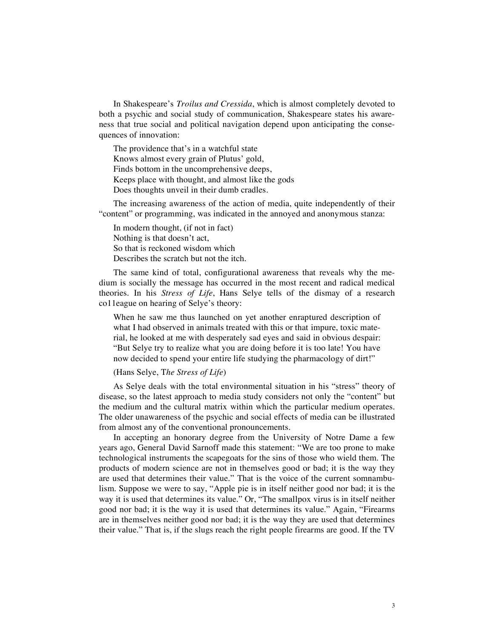In Shakespeare's *Troilus and Cressida*, which is almost completely devoted to both a psychic and social study of communication, Shakespeare states his awareness that true social and political navigation depend upon anticipating the consequences of innovation:

The providence that's in a watchful state Knows almost every grain of Plutus' gold, Finds bottom in the uncomprehensive deeps, Keeps place with thought, and almost like the gods Does thoughts unveil in their dumb cradles.

The increasing awareness of the action of media, quite independently of their "content" or programming, was indicated in the annoyed and anonymous stanza:

In modern thought, (if not in fact) Nothing is that doesn't act, So that is reckoned wisdom which Describes the scratch but not the itch.

The same kind of total, configurational awareness that reveals why the medium is socially the message has occurred in the most recent and radical medical theories. In his *Stress of Life*, Hans Selye tells of the dismay of a research co11eague on hearing of Selye's theory:

When he saw me thus launched on yet another enraptured description of what I had observed in animals treated with this or that impure, toxic material, he looked at me with desperately sad eyes and said in obvious despair: "But Selye try to realize what you are doing before it is too late! You have now decided to spend your entire life studying the pharmacology of dirt!"

(Hans Selye, T*he Stress of Life*)

As Selye deals with the total environmental situation in his "stress" theory of disease, so the latest approach to media study considers not only the "content" but the medium and the cultural matrix within which the particular medium operates. The older unawareness of the psychic and social effects of media can be illustrated from almost any of the conventional pronouncements.

In accepting an honorary degree from the University of Notre Dame a few years ago, General David Sarnoff made this statement: "We are too prone to make technological instruments the scapegoats for the sins of those who wield them. The products of modern science are not in themselves good or bad; it is the way they are used that determines their value." That is the voice of the current somnambulism. Suppose we were to say, "Apple pie is in itself neither good nor bad; it is the way it is used that determines its value." Or, "The smallpox virus is in itself neither good nor bad; it is the way it is used that determines its value." Again, "Firearms are in themselves neither good nor bad; it is the way they are used that determines their value." That is, if the slugs reach the right people firearms are good. If the TV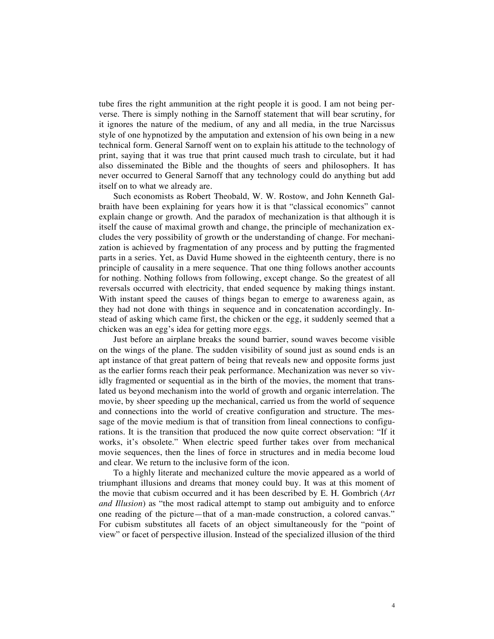tube fires the right ammunition at the right people it is good. I am not being perverse. There is simply nothing in the Sarnoff statement that will bear scrutiny, for it ignores the nature of the medium, of any and all media, in the true Narcissus style of one hypnotized by the amputation and extension of his own being in a new technical form. General Sarnoff went on to explain his attitude to the technology of print, saying that it was true that print caused much trash to circulate, but it had also disseminated the Bible and the thoughts of seers and philosophers. It has never occurred to General Sarnoff that any technology could do anything but add itself on to what we already are.

Such economists as Robert Theobald, W. W. Rostow, and John Kenneth Galbraith have been explaining for years how it is that "classical economics" cannot explain change or growth. And the paradox of mechanization is that although it is itself the cause of maximal growth and change, the principle of mechanization excludes the very possibility of growth or the understanding of change. For mechanization is achieved by fragmentation of any process and by putting the fragmented parts in a series. Yet, as David Hume showed in the eighteenth century, there is no principle of causality in a mere sequence. That one thing follows another accounts for nothing. Nothing follows from following, except change. So the greatest of all reversals occurred with electricity, that ended sequence by making things instant. With instant speed the causes of things began to emerge to awareness again, as they had not done with things in sequence and in concatenation accordingly. Instead of asking which came first, the chicken or the egg, it suddenly seemed that a chicken was an egg's idea for getting more eggs.

Just before an airplane breaks the sound barrier, sound waves become visible on the wings of the plane. The sudden visibility of sound just as sound ends is an apt instance of that great pattern of being that reveals new and opposite forms just as the earlier forms reach their peak performance. Mechanization was never so vividly fragmented or sequential as in the birth of the movies, the moment that translated us beyond mechanism into the world of growth and organic interrelation. The movie, by sheer speeding up the mechanical, carried us from the world of sequence and connections into the world of creative configuration and structure. The message of the movie medium is that of transition from lineal connections to configurations. It is the transition that produced the now quite correct observation: "If it works, it's obsolete." When electric speed further takes over from mechanical movie sequences, then the lines of force in structures and in media become loud and clear. We return to the inclusive form of the icon.

To a highly literate and mechanized culture the movie appeared as a world of triumphant illusions and dreams that money could buy. It was at this moment of the movie that cubism occurred and it has been described by E. H. Gombrich (*Art and Illusion*) as "the most radical attempt to stamp out ambiguity and to enforce one reading of the picture—that of a man-made construction, a colored canvas." For cubism substitutes all facets of an object simultaneously for the "point of view" or facet of perspective illusion. Instead of the specialized illusion of the third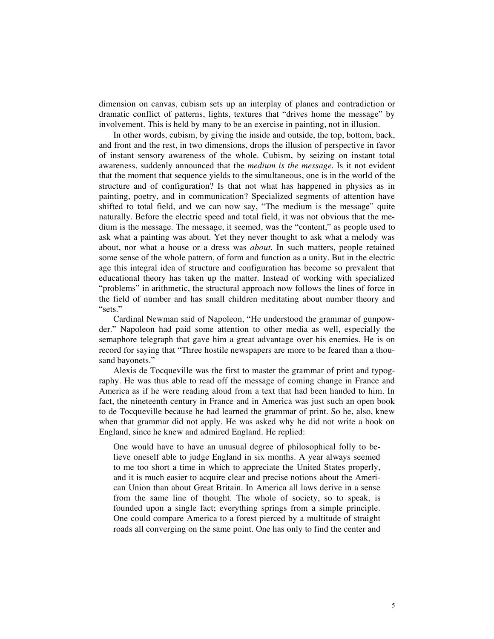dimension on canvas, cubism sets up an interplay of planes and contradiction or dramatic conflict of patterns, lights, textures that "drives home the message" by involvement. This is held by many to be an exercise in painting, not in illusion.

In other words, cubism, by giving the inside and outside, the top, bottom, back, and front and the rest, in two dimensions, drops the illusion of perspective in favor of instant sensory awareness of the whole. Cubism, by seizing on instant total awareness, suddenly announced that the *medium is the message*. Is it not evident that the moment that sequence yields to the simultaneous, one is in the world of the structure and of configuration? Is that not what has happened in physics as in painting, poetry, and in communication? Specialized segments of attention have shifted to total field, and we can now say, "The medium is the message" quite naturally. Before the electric speed and total field, it was not obvious that the medium is the message. The message, it seemed, was the "content," as people used to ask what a painting was about. Yet they never thought to ask what a melody was about, nor what a house or a dress was *about*. In such matters, people retained some sense of the whole pattern, of form and function as a unity. But in the electric age this integral idea of structure and configuration has become so prevalent that educational theory has taken up the matter. Instead of working with specialized "problems" in arithmetic, the structural approach now follows the lines of force in the field of number and has small children meditating about number theory and "sets."

Cardinal Newman said of Napoleon, "He understood the grammar of gunpowder." Napoleon had paid some attention to other media as well, especially the semaphore telegraph that gave him a great advantage over his enemies. He is on record for saying that "Three hostile newspapers are more to be feared than a thousand bayonets."

Alexis de Tocqueville was the first to master the grammar of print and typography. He was thus able to read off the message of coming change in France and America as if he were reading aloud from a text that had been handed to him. In fact, the nineteenth century in France and in America was just such an open book to de Tocqueville because he had learned the grammar of print. So he, also, knew when that grammar did not apply. He was asked why he did not write a book on England, since he knew and admired England. He replied:

One would have to have an unusual degree of philosophical folly to believe oneself able to judge England in six months. A year always seemed to me too short a time in which to appreciate the United States properly, and it is much easier to acquire clear and precise notions about the American Union than about Great Britain. In America all laws derive in a sense from the same line of thought. The whole of society, so to speak, is founded upon a single fact; everything springs from a simple principle. One could compare America to a forest pierced by a multitude of straight roads all converging on the same point. One has only to find the center and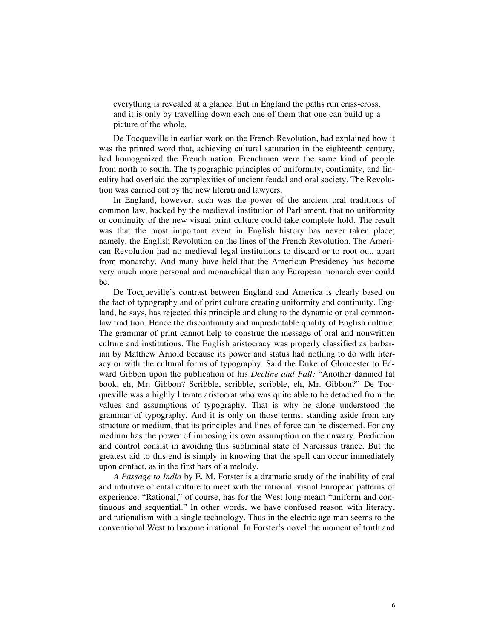everything is revealed at a glance. But in England the paths run criss-cross, and it is only by travelling down each one of them that one can build up a picture of the whole.

De Tocqueville in earlier work on the French Revolution, had explained how it was the printed word that, achieving cultural saturation in the eighteenth century, had homogenized the French nation. Frenchmen were the same kind of people from north to south. The typographic principles of uniformity, continuity, and lineality had overlaid the complexities of ancient feudal and oral society. The Revolution was carried out by the new literati and lawyers.

In England, however, such was the power of the ancient oral traditions of common law, backed by the medieval institution of Parliament, that no uniformity or continuity of the new visual print culture could take complete hold. The result was that the most important event in English history has never taken place; namely, the English Revolution on the lines of the French Revolution. The American Revolution had no medieval legal institutions to discard or to root out, apart from monarchy. And many have held that the American Presidency has become very much more personal and monarchical than any European monarch ever could be.

De Tocqueville's contrast between England and America is clearly based on the fact of typography and of print culture creating uniformity and continuity. England, he says, has rejected this principle and clung to the dynamic or oral commonlaw tradition. Hence the discontinuity and unpredictable quality of English culture. The grammar of print cannot help to construe the message of oral and nonwritten culture and institutions. The English aristocracy was properly classified as barbarian by Matthew Arnold because its power and status had nothing to do with literacy or with the cultural forms of typography. Said the Duke of Gloucester to Edward Gibbon upon the publication of his *Decline and Fall:* "Another damned fat book, eh, Mr. Gibbon? Scribble, scribble, scribble, eh, Mr. Gibbon?" De Tocqueville was a highly literate aristocrat who was quite able to be detached from the values and assumptions of typography. That is why he alone understood the grammar of typography. And it is only on those terms, standing aside from any structure or medium, that its principles and lines of force can be discerned. For any medium has the power of imposing its own assumption on the unwary. Prediction and control consist in avoiding this subliminal state of Narcissus trance. But the greatest aid to this end is simply in knowing that the spell can occur immediately upon contact, as in the first bars of a melody.

*A Passage to India* by E. M. Forster is a dramatic study of the inability of oral and intuitive oriental culture to meet with the rational, visual European patterns of experience. "Rational," of course, has for the West long meant "uniform and continuous and sequential." In other words, we have confused reason with literacy, and rationalism with a single technology. Thus in the electric age man seems to the conventional West to become irrational. In Forster's novel the moment of truth and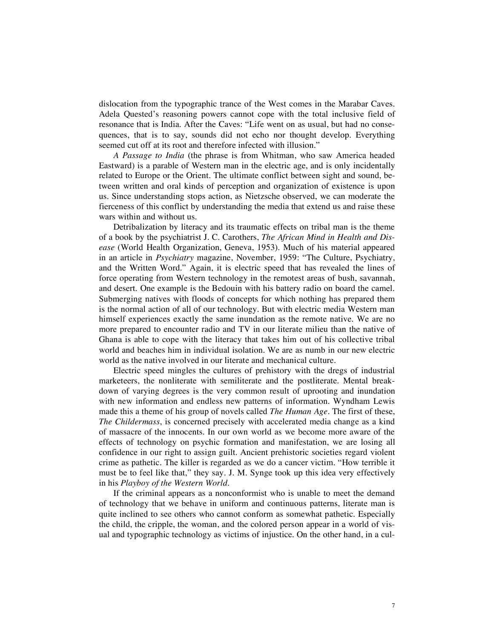dislocation from the typographic trance of the West comes in the Marabar Caves. Adela Quested's reasoning powers cannot cope with the total inclusive field of resonance that is India. After the Caves: "Life went on as usual, but had no consequences, that is to say, sounds did not echo nor thought develop. Everything seemed cut off at its root and therefore infected with illusion."

*A Passage to India* (the phrase is from Whitman, who saw America headed Eastward) is a parable of Western man in the electric age, and is only incidentally related to Europe or the Orient. The ultimate conflict between sight and sound, between written and oral kinds of perception and organization of existence is upon us. Since understanding stops action, as Nietzsche observed, we can moderate the fierceness of this conflict by understanding the media that extend us and raise these wars within and without us.

Detribalization by literacy and its traumatic effects on tribal man is the theme of a book by the psychiatrist J. C. Carothers, *The African Mind in Health and Disease* (World Health Organization, Geneva, 1953). Much of his material appeared in an article in *Psychiatry* magazine, November, 1959: "The Culture, Psychiatry, and the Written Word." Again, it is electric speed that has revealed the lines of force operating from Western technology in the remotest areas of bush, savannah, and desert. One example is the Bedouin with his battery radio on board the camel. Submerging natives with floods of concepts for which nothing has prepared them is the normal action of all of our technology. But with electric media Western man himself experiences exactly the same inundation as the remote native. We are no more prepared to encounter radio and TV in our literate milieu than the native of Ghana is able to cope with the literacy that takes him out of his collective tribal world and beaches him in individual isolation. We are as numb in our new electric world as the native involved in our literate and mechanical culture.

Electric speed mingles the cultures of prehistory with the dregs of industrial marketeers, the nonliterate with semiliterate and the postliterate. Mental breakdown of varying degrees is the very common result of uprooting and inundation with new information and endless new patterns of information. Wyndham Lewis made this a theme of his group of novels called *The Human Age*. The first of these, *The Childermass*, is concerned precisely with accelerated media change as a kind of massacre of the innocents. In our own world as we become more aware of the effects of technology on psychic formation and manifestation, we are losing all confidence in our right to assign guilt. Ancient prehistoric societies regard violent crime as pathetic. The killer is regarded as we do a cancer victim. "How terrible it must be to feel like that," they say. J. M. Synge took up this idea very effectively in his *Playboy of the Western World*.

If the criminal appears as a nonconformist who is unable to meet the demand of technology that we behave in uniform and continuous patterns, literate man is quite inclined to see others who cannot conform as somewhat pathetic. Especially the child, the cripple, the woman, and the colored person appear in a world of visual and typographic technology as victims of injustice. On the other hand, in a cul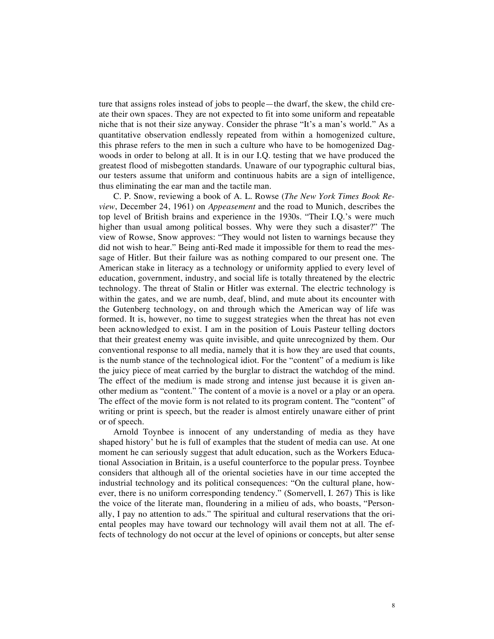ture that assigns roles instead of jobs to people—the dwarf, the skew, the child create their own spaces. They are not expected to fit into some uniform and repeatable niche that is not their size anyway. Consider the phrase "It's a man's world." As a quantitative observation endlessly repeated from within a homogenized culture, this phrase refers to the men in such a culture who have to be homogenized Dagwoods in order to belong at all. It is in our I.Q. testing that we have produced the greatest flood of misbegotten standards. Unaware of our typographic cultural bias, our testers assume that uniform and continuous habits are a sign of intelligence, thus eliminating the ear man and the tactile man.

C. P. Snow, reviewing a book of A. L. Rowse (*The New York Times Book Review*, December 24, 1961) on *Appeasement* and the road to Munich, describes the top level of British brains and experience in the 1930s. "Their I.Q.'s were much higher than usual among political bosses. Why were they such a disaster?" The view of Rowse, Snow approves: "They would not listen to warnings because they did not wish to hear." Being anti-Red made it impossible for them to read the message of Hitler. But their failure was as nothing compared to our present one. The American stake in literacy as a technology or uniformity applied to every level of education, government, industry, and social life is totally threatened by the electric technology. The threat of Stalin or Hitler was external. The electric technology is within the gates, and we are numb, deaf, blind, and mute about its encounter with the Gutenberg technology, on and through which the American way of life was formed. It is, however, no time to suggest strategies when the threat has not even been acknowledged to exist. I am in the position of Louis Pasteur telling doctors that their greatest enemy was quite invisible, and quite unrecognized by them. Our conventional response to all media, namely that it is how they are used that counts, is the numb stance of the technological idiot. For the "content" of a medium is like the juicy piece of meat carried by the burglar to distract the watchdog of the mind. The effect of the medium is made strong and intense just because it is given another medium as "content." The content of a movie is a novel or a play or an opera. The effect of the movie form is not related to its program content. The "content" of writing or print is speech, but the reader is almost entirely unaware either of print or of speech.

Arnold Toynbee is innocent of any understanding of media as they have shaped history' but he is full of examples that the student of media can use. At one moment he can seriously suggest that adult education, such as the Workers Educational Association in Britain, is a useful counterforce to the popular press. Toynbee considers that although all of the oriental societies have in our time accepted the industrial technology and its political consequences: "On the cultural plane, however, there is no uniform corresponding tendency." (Somervell, I. 267) This is like the voice of the literate man, floundering in a milieu of ads, who boasts, "Personally, I pay no attention to ads." The spiritual and cultural reservations that the oriental peoples may have toward our technology will avail them not at all. The effects of technology do not occur at the level of opinions or concepts, but alter sense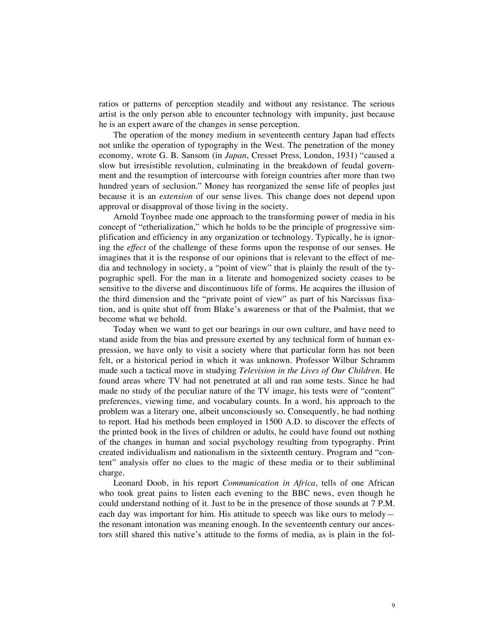ratios or patterns of perception steadily and without any resistance. The serious artist is the only person able to encounter technology with impunity, just because he is an expert aware of the changes in sense perception.

The operation of the money medium in seventeenth century Japan had effects not unlike the operation of typography in the West. The penetration of the money economy, wrote G. B. Sansom (in *Japan*, Cresset Press, London, 1931) "caused a slow but irresistible revolution, culminating in the breakdown of feudal government and the resumption of intercourse with foreign countries after more than two hundred years of seclusion." Money has reorganized the sense life of peoples just because it is an *extension* of our sense lives. This change does not depend upon approval or disapproval of those living in the society.

Arnold Toynbee made one approach to the transforming power of media in his concept of "etherialization," which he holds to be the principle of progressive simplification and efficiency in any organization or technology. Typically, he is ignoring the *effect* of the challenge of these forms upon the response of our senses. He imagines that it is the response of our opinions that is relevant to the effect of media and technology in society, a "point of view" that is plainly the result of the typographic spell. For the man in a literate and homogenized society ceases to be sensitive to the diverse and discontinuous life of forms. He acquires the illusion of the third dimension and the "private point of view" as part of his Narcissus fixation, and is quite shut off from Blake's awareness or that of the Psalmist, that we become what we behold.

Today when we want to get our bearings in our own culture, and have need to stand aside from the bias and pressure exerted by any technical form of human expression, we have only to visit a society where that particular form has not been felt, or a historical period in which it was unknown. Professor Wilbur Schramm made such a tactical move in studying *Television in the Lives of Our Children*. He found areas where TV had not penetrated at all and ran some tests. Since he had made no study of the peculiar nature of the TV image, his tests were of "content" preferences, viewing time, and vocabulary counts. In a word, his approach to the problem was a literary one, albeit unconsciously so. Consequently, he had nothing to report. Had his methods been employed in 1500 A.D. to discover the effects of the printed book in the lives of children or adults, he could have found out nothing of the changes in human and social psychology resulting from typography. Print created individualism and nationalism in the sixteenth century. Program and "content" analysis offer no clues to the magic of these media or to their subliminal charge.

Leonard Doob, in his report *Communication in Africa*, tells of one African who took great pains to listen each evening to the BBC news, even though he could understand nothing of it. Just to be in the presence of those sounds at 7 P.M. each day was important for him. His attitude to speech was like ours to melody the resonant intonation was meaning enough. In the seventeenth century our ancestors still shared this native's attitude to the forms of media, as is plain in the fol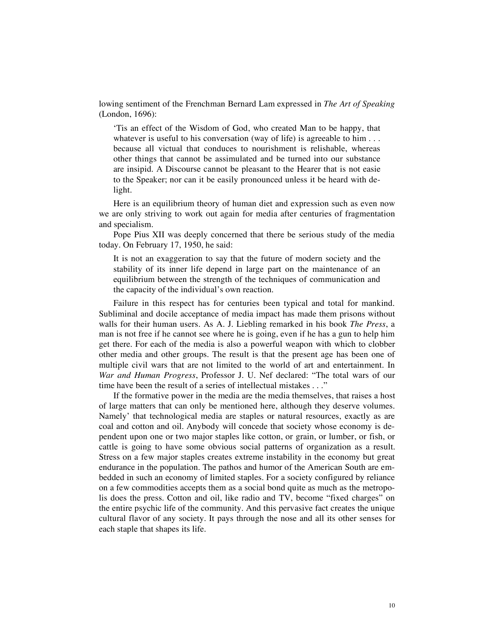lowing sentiment of the Frenchman Bernard Lam expressed in *The Art of Speaking* (London, 1696):

'Tis an effect of the Wisdom of God, who created Man to be happy, that whatever is useful to his conversation (way of life) is agreeable to him  $\dots$ because all victual that conduces to nourishment is relishable, whereas other things that cannot be assimulated and be turned into our substance are insipid. A Discourse cannot be pleasant to the Hearer that is not easie to the Speaker; nor can it be easily pronounced unless it be heard with delight.

Here is an equilibrium theory of human diet and expression such as even now we are only striving to work out again for media after centuries of fragmentation and specialism.

Pope Pius XII was deeply concerned that there be serious study of the media today. On February 17, 1950, he said:

It is not an exaggeration to say that the future of modern society and the stability of its inner life depend in large part on the maintenance of an equilibrium between the strength of the techniques of communication and the capacity of the individual's own reaction.

Failure in this respect has for centuries been typical and total for mankind. Subliminal and docile acceptance of media impact has made them prisons without walls for their human users. As A. J. Liebling remarked in his book *The Press*, a man is not free if he cannot see where he is going, even if he has a gun to help him get there. For each of the media is also a powerful weapon with which to clobber other media and other groups. The result is that the present age has been one of multiple civil wars that are not limited to the world of art and entertainment. In *War and Human Progress*, Professor J. U. Nef declared: "The total wars of our time have been the result of a series of intellectual mistakes . . ."

If the formative power in the media are the media themselves, that raises a host of large matters that can only be mentioned here, although they deserve volumes. Namely' that technological media are staples or natural resources, exactly as are coal and cotton and oil. Anybody will concede that society whose economy is dependent upon one or two major staples like cotton, or grain, or lumber, or fish, or cattle is going to have some obvious social patterns of organization as a result. Stress on a few major staples creates extreme instability in the economy but great endurance in the population. The pathos and humor of the American South are embedded in such an economy of limited staples. For a society configured by reliance on a few commodities accepts them as a social bond quite as much as the metropolis does the press. Cotton and oil, like radio and TV, become "fixed charges" on the entire psychic life of the community. And this pervasive fact creates the unique cultural flavor of any society. It pays through the nose and all its other senses for each staple that shapes its life.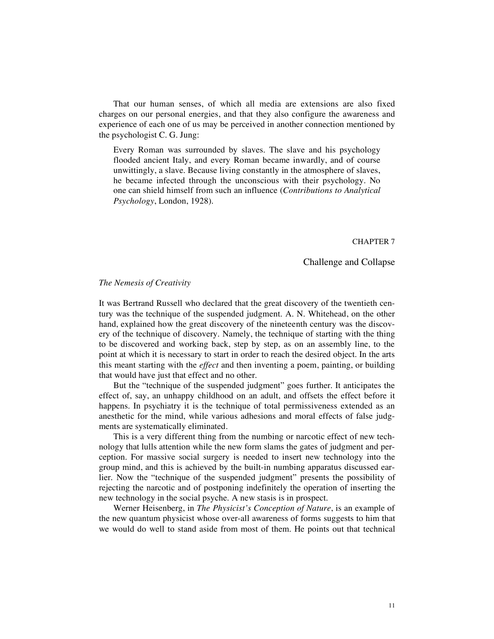That our human senses, of which all media are extensions are also fixed charges on our personal energies, and that they also configure the awareness and experience of each one of us may be perceived in another connection mentioned by the psychologist C. G. Jung:

Every Roman was surrounded by slaves. The slave and his psychology flooded ancient Italy, and every Roman became inwardly, and of course unwittingly, a slave. Because living constantly in the atmosphere of slaves, he became infected through the unconscious with their psychology. No one can shield himself from such an influence (*Contributions to Analytical Psychology*, London, 1928).

CHAPTER 7

Challenge and Collapse

## *The Nemesis of Creativity*

It was Bertrand Russell who declared that the great discovery of the twentieth century was the technique of the suspended judgment. A. N. Whitehead, on the other hand, explained how the great discovery of the nineteenth century was the discovery of the technique of discovery. Namely, the technique of starting with the thing to be discovered and working back, step by step, as on an assembly line, to the point at which it is necessary to start in order to reach the desired object. In the arts this meant starting with the *effect* and then inventing a poem, painting, or building that would have just that effect and no other.

But the "technique of the suspended judgment" goes further. It anticipates the effect of, say, an unhappy childhood on an adult, and offsets the effect before it happens. In psychiatry it is the technique of total permissiveness extended as an anesthetic for the mind, while various adhesions and moral effects of false judgments are systematically eliminated.

This is a very different thing from the numbing or narcotic effect of new technology that lulls attention while the new form slams the gates of judgment and perception. For massive social surgery is needed to insert new technology into the group mind, and this is achieved by the built-in numbing apparatus discussed earlier. Now the "technique of the suspended judgment" presents the possibility of rejecting the narcotic and of postponing indefinitely the operation of inserting the new technology in the social psyche. A new stasis is in prospect.

Werner Heisenberg, in *The Physicist's Conception of Nature*, is an example of the new quantum physicist whose over-all awareness of forms suggests to him that we would do well to stand aside from most of them. He points out that technical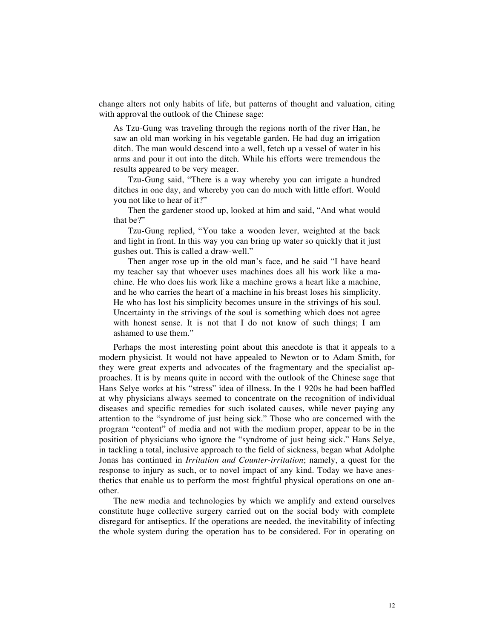change alters not only habits of life, but patterns of thought and valuation, citing with approval the outlook of the Chinese sage:

As Tzu-Gung was traveling through the regions north of the river Han, he saw an old man working in his vegetable garden. He had dug an irrigation ditch. The man would descend into a well, fetch up a vessel of water in his arms and pour it out into the ditch. While his efforts were tremendous the results appeared to be very meager.

Tzu-Gung said, "There is a way whereby you can irrigate a hundred ditches in one day, and whereby you can do much with little effort. Would you not like to hear of it?"

Then the gardener stood up, looked at him and said, "And what would that be?"

Tzu-Gung replied, "You take a wooden lever, weighted at the back and light in front. In this way you can bring up water so quickly that it just gushes out. This is called a draw-well."

Then anger rose up in the old man's face, and he said "I have heard my teacher say that whoever uses machines does all his work like a machine. He who does his work like a machine grows a heart like a machine, and he who carries the heart of a machine in his breast loses his simplicity. He who has lost his simplicity becomes unsure in the strivings of his soul. Uncertainty in the strivings of the soul is something which does not agree with honest sense. It is not that I do not know of such things; I am ashamed to use them."

Perhaps the most interesting point about this anecdote is that it appeals to a modern physicist. It would not have appealed to Newton or to Adam Smith, for they were great experts and advocates of the fragmentary and the specialist approaches. It is by means quite in accord with the outlook of the Chinese sage that Hans Selye works at his "stress" idea of illness. In the 1 920s he had been baffled at why physicians always seemed to concentrate on the recognition of individual diseases and specific remedies for such isolated causes, while never paying any attention to the "syndrome of just being sick." Those who are concerned with the program "content" of media and not with the medium proper, appear to be in the position of physicians who ignore the "syndrome of just being sick." Hans Selye, in tackling a total, inclusive approach to the field of sickness, began what Adolphe Jonas has continued in *Irritation and Counter-irritation*; namely, a quest for the response to injury as such, or to novel impact of any kind. Today we have anesthetics that enable us to perform the most frightful physical operations on one another.

The new media and technologies by which we amplify and extend ourselves constitute huge collective surgery carried out on the social body with complete disregard for antiseptics. If the operations are needed, the inevitability of infecting the whole system during the operation has to be considered. For in operating on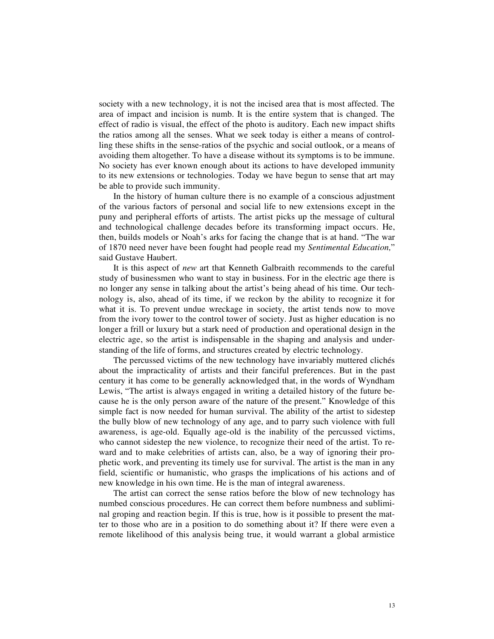society with a new technology, it is not the incised area that is most affected. The area of impact and incision is numb. It is the entire system that is changed. The effect of radio is visual, the effect of the photo is auditory. Each new impact shifts the ratios among all the senses. What we seek today is either a means of controlling these shifts in the sense-ratios of the psychic and social outlook, or a means of avoiding them altogether. To have a disease without its symptoms is to be immune. No society has ever known enough about its actions to have developed immunity to its new extensions or technologies. Today we have begun to sense that art may be able to provide such immunity.

In the history of human culture there is no example of a conscious adjustment of the various factors of personal and social life to new extensions except in the puny and peripheral efforts of artists. The artist picks up the message of cultural and technological challenge decades before its transforming impact occurs. He, then, builds models or Noah's arks for facing the change that is at hand. "The war of 1870 need never have been fought had people read my *Sentimental Education,*" said Gustave Haubert.

It is this aspect of *new* art that Kenneth Galbraith recommends to the careful study of businessmen who want to stay in business. For in the electric age there is no longer any sense in talking about the artist's being ahead of his time. Our technology is, also, ahead of its time, if we reckon by the ability to recognize it for what it is. To prevent undue wreckage in society, the artist tends now to move from the ivory tower to the control tower of society. Just as higher education is no longer a frill or luxury but a stark need of production and operational design in the electric age, so the artist is indispensable in the shaping and analysis and understanding of the life of forms, and structures created by electric technology.

The percussed victims of the new technology have invariably muttered clichés about the impracticality of artists and their fanciful preferences. But in the past century it has come to be generally acknowledged that, in the words of Wyndham Lewis, "The artist is always engaged in writing a detailed history of the future because he is the only person aware of the nature of the present." Knowledge of this simple fact is now needed for human survival. The ability of the artist to sidestep the bully blow of new technology of any age, and to parry such violence with full awareness, is age-old. Equally age-old is the inability of the percussed victims, who cannot sidestep the new violence, to recognize their need of the artist. To reward and to make celebrities of artists can, also, be a way of ignoring their prophetic work, and preventing its timely use for survival. The artist is the man in any field, scientific or humanistic, who grasps the implications of his actions and of new knowledge in his own time. He is the man of integral awareness.

The artist can correct the sense ratios before the blow of new technology has numbed conscious procedures. He can correct them before numbness and subliminal groping and reaction begin. If this is true, how is it possible to present the matter to those who are in a position to do something about it? If there were even a remote likelihood of this analysis being true, it would warrant a global armistice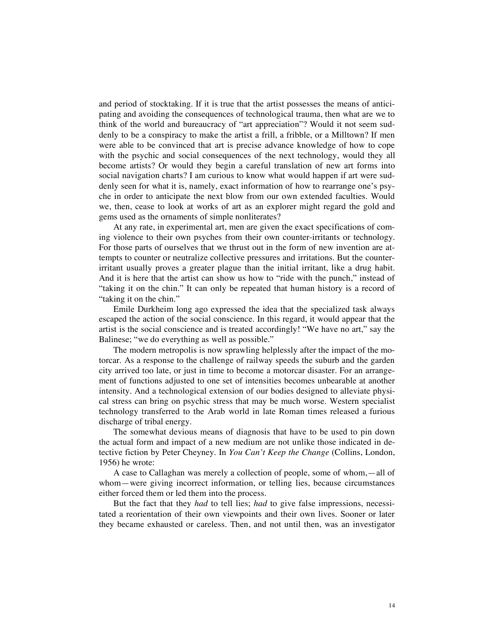and period of stocktaking. If it is true that the artist possesses the means of anticipating and avoiding the consequences of technological trauma, then what are we to think of the world and bureaucracy of "art appreciation"? Would it not seem suddenly to be a conspiracy to make the artist a frill, a fribble, or a Milltown? If men were able to be convinced that art is precise advance knowledge of how to cope with the psychic and social consequences of the next technology, would they all become artists? Or would they begin a careful translation of new art forms into social navigation charts? I am curious to know what would happen if art were suddenly seen for what it is, namely, exact information of how to rearrange one's psyche in order to anticipate the next blow from our own extended faculties. Would we, then, cease to look at works of art as an explorer might regard the gold and gems used as the ornaments of simple nonliterates?

At any rate, in experimental art, men are given the exact specifications of coming violence to their own psyches from their own counter-irritants or technology. For those parts of ourselves that we thrust out in the form of new invention are attempts to counter or neutralize collective pressures and irritations. But the counterirritant usually proves a greater plague than the initial irritant, like a drug habit. And it is here that the artist can show us how to "ride with the punch," instead of "taking it on the chin." It can only be repeated that human history is a record of "taking it on the chin."

Emile Durkheim long ago expressed the idea that the specialized task always escaped the action of the social conscience. In this regard, it would appear that the artist is the social conscience and is treated accordingly! "We have no art," say the Balinese; "we do everything as well as possible."

The modern metropolis is now sprawling helplessly after the impact of the motorcar. As a response to the challenge of railway speeds the suburb and the garden city arrived too late, or just in time to become a motorcar disaster. For an arrangement of functions adjusted to one set of intensities becomes unbearable at another intensity. And a technological extension of our bodies designed to alleviate physical stress can bring on psychic stress that may be much worse. Western specialist technology transferred to the Arab world in late Roman times released a furious discharge of tribal energy.

The somewhat devious means of diagnosis that have to be used to pin down the actual form and impact of a new medium are not unlike those indicated in detective fiction by Peter Cheyney. In *You Can't Keep the Change* (Collins, London, 1956) he wrote:

A case to Callaghan was merely a collection of people, some of whom,—all of whom—were giving incorrect information, or telling lies, because circumstances either forced them or led them into the process.

But the fact that they *had* to tell lies; *had* to give false impressions, necessitated a reorientation of their own viewpoints and their own lives. Sooner or later they became exhausted or careless. Then, and not until then, was an investigator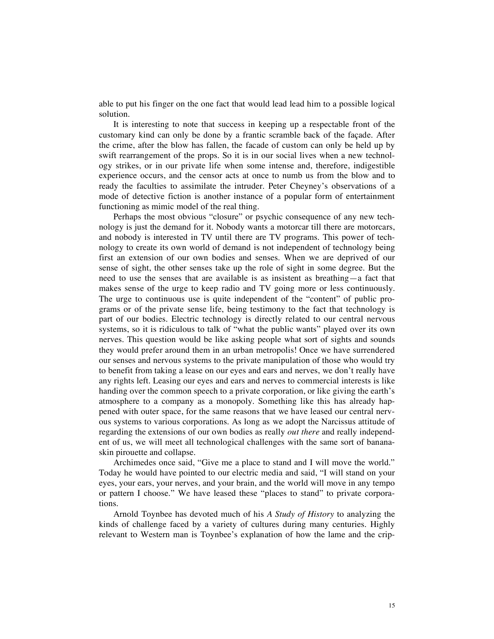able to put his finger on the one fact that would lead lead him to a possible logical solution.

It is interesting to note that success in keeping up a respectable front of the customary kind can only be done by a frantic scramble back of the façade. After the crime, after the blow has fallen, the facade of custom can only be held up by swift rearrangement of the props. So it is in our social lives when a new technology strikes, or in our private life when some intense and, therefore, indigestible experience occurs, and the censor acts at once to numb us from the blow and to ready the faculties to assimilate the intruder. Peter Cheyney's observations of a mode of detective fiction is another instance of a popular form of entertainment functioning as mimic model of the real thing.

Perhaps the most obvious "closure" or psychic consequence of any new technology is just the demand for it. Nobody wants a motorcar till there are motorcars, and nobody is interested in TV until there are TV programs. This power of technology to create its own world of demand is not independent of technology being first an extension of our own bodies and senses. When we are deprived of our sense of sight, the other senses take up the role of sight in some degree. But the need to use the senses that are available is as insistent as breathing—a fact that makes sense of the urge to keep radio and TV going more or less continuously. The urge to continuous use is quite independent of the "content" of public programs or of the private sense life, being testimony to the fact that technology is part of our bodies. Electric technology is directly related to our central nervous systems, so it is ridiculous to talk of "what the public wants" played over its own nerves. This question would be like asking people what sort of sights and sounds they would prefer around them in an urban metropolis! Once we have surrendered our senses and nervous systems to the private manipulation of those who would try to benefit from taking a lease on our eyes and ears and nerves, we don't really have any rights left. Leasing our eyes and ears and nerves to commercial interests is like handing over the common speech to a private corporation, or like giving the earth's atmosphere to a company as a monopoly. Something like this has already happened with outer space, for the same reasons that we have leased our central nervous systems to various corporations. As long as we adopt the Narcissus attitude of regarding the extensions of our own bodies as really *out there* and really independent of us, we will meet all technological challenges with the same sort of bananaskin pirouette and collapse.

Archimedes once said, "Give me a place to stand and I will move the world." Today he would have pointed to our electric media and said, "I will stand on your eyes, your ears, your nerves, and your brain, and the world will move in any tempo or pattern I choose." We have leased these "places to stand" to private corporations.

Arnold Toynbee has devoted much of his *A Study of History* to analyzing the kinds of challenge faced by a variety of cultures during many centuries. Highly relevant to Western man is Toynbee's explanation of how the lame and the crip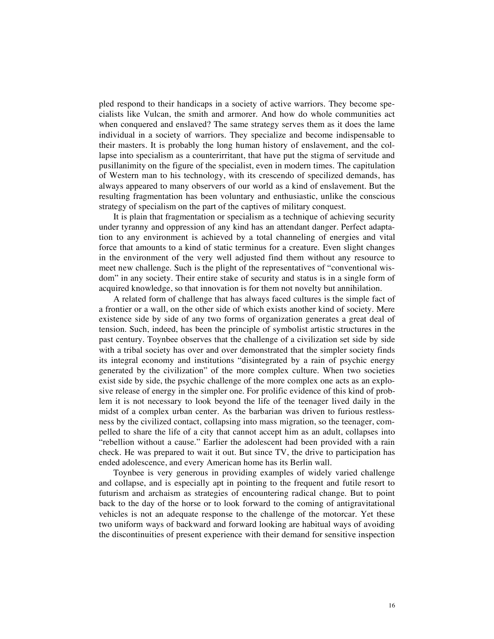pled respond to their handicaps in a society of active warriors. They become specialists like Vulcan, the smith and armorer. And how do whole communities act when conquered and enslaved? The same strategy serves them as it does the lame individual in a society of warriors. They specialize and become indispensable to their masters. It is probably the long human history of enslavement, and the collapse into specialism as a counterirritant, that have put the stigma of servitude and pusillanimity on the figure of the specialist, even in modern times. The capitulation of Western man to his technology, with its crescendo of specilized demands, has always appeared to many observers of our world as a kind of enslavement. But the resulting fragmentation has been voluntary and enthusiastic, unlike the conscious strategy of specialism on the part of the captives of military conquest.

It is plain that fragmentation or specialism as a technique of achieving security under tyranny and oppression of any kind has an attendant danger. Perfect adaptation to any environment is achieved by a total channeling of energies and vital force that amounts to a kind of static terminus for a creature. Even slight changes in the environment of the very well adjusted find them without any resource to meet new challenge. Such is the plight of the representatives of "conventional wisdom" in any society. Their entire stake of security and status is in a single form of acquired knowledge, so that innovation is for them not novelty but annihilation.

A related form of challenge that has always faced cultures is the simple fact of a frontier or a wall, on the other side of which exists another kind of society. Mere existence side by side of any two forms of organization generates a great deal of tension. Such, indeed, has been the principle of symbolist artistic structures in the past century. Toynbee observes that the challenge of a civilization set side by side with a tribal society has over and over demonstrated that the simpler society finds its integral economy and institutions "disintegrated by a rain of psychic energy generated by the civilization" of the more complex culture. When two societies exist side by side, the psychic challenge of the more complex one acts as an explosive release of energy in the simpler one. For prolific evidence of this kind of problem it is not necessary to look beyond the life of the teenager lived daily in the midst of a complex urban center. As the barbarian was driven to furious restlessness by the civilized contact, collapsing into mass migration, so the teenager, compelled to share the life of a city that cannot accept him as an adult, collapses into "rebellion without a cause." Earlier the adolescent had been provided with a rain check. He was prepared to wait it out. But since TV, the drive to participation has ended adolescence, and every American home has its Berlin wall.

Toynbee is very generous in providing examples of widely varied challenge and collapse, and is especially apt in pointing to the frequent and futile resort to futurism and archaism as strategies of encountering radical change. But to point back to the day of the horse or to look forward to the coming of antigravitational vehicles is not an adequate response to the challenge of the motorcar. Yet these two uniform ways of backward and forward looking are habitual ways of avoiding the discontinuities of present experience with their demand for sensitive inspection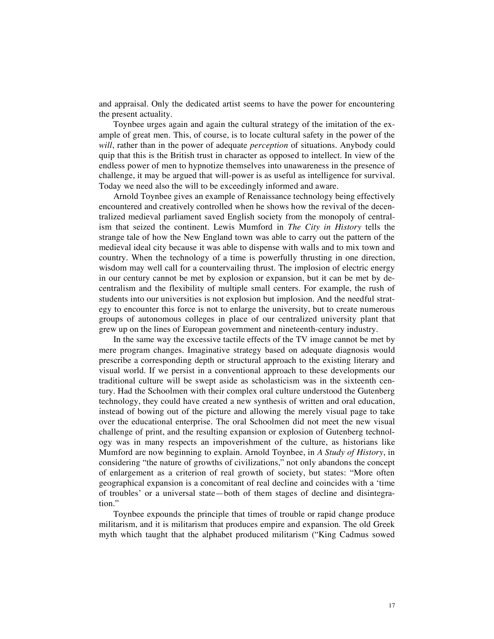and appraisal. Only the dedicated artist seems to have the power for encountering the present actuality.

Toynbee urges again and again the cultural strategy of the imitation of the example of great men. This, of course, is to locate cultural safety in the power of the *will*, rather than in the power of adequate *perception* of situations. Anybody could quip that this is the British trust in character as opposed to intellect. In view of the endless power of men to hypnotize themselves into unawareness in the presence of challenge, it may be argued that will-power is as useful as intelligence for survival. Today we need also the will to be exceedingly informed and aware.

Arnold Toynbee gives an example of Renaissance technology being effectively encountered and creatively controlled when he shows how the revival of the decentralized medieval parliament saved English society from the monopoly of centralism that seized the continent. Lewis Mumford in *The City in History* tells the strange tale of how the New England town was able to carry out the pattern of the medieval ideal city because it was able to dispense with walls and to mix town and country. When the technology of a time is powerfully thrusting in one direction, wisdom may well call for a countervailing thrust. The implosion of electric energy in our century cannot be met by explosion or expansion, but it can be met by decentralism and the flexibility of multiple small centers. For example, the rush of students into our universities is not explosion but implosion. And the needful strategy to encounter this force is not to enlarge the university, but to create numerous groups of autonomous colleges in place of our centralized university plant that grew up on the lines of European government and nineteenth-century industry.

In the same way the excessive tactile effects of the TV image cannot be met by mere program changes. Imaginative strategy based on adequate diagnosis would prescribe a corresponding depth or structural approach to the existing literary and visual world. If we persist in a conventional approach to these developments our traditional culture will be swept aside as scholasticism was in the sixteenth century. Had the Schoolmen with their complex oral culture understood the Gutenberg technology, they could have created a new synthesis of written and oral education, instead of bowing out of the picture and allowing the merely visual page to take over the educational enterprise. The oral Schoolmen did not meet the new visual challenge of print, and the resulting expansion or explosion of Gutenberg technology was in many respects an impoverishment of the culture, as historians like Mumford are now beginning to explain. Arnold Toynbee, in *A Study of History*, in considering "the nature of growths of civilizations," not only abandons the concept of enlargement as a criterion of real growth of society, but states: "More often geographical expansion is a concomitant of real decline and coincides with a 'time of troubles' or a universal state—both of them stages of decline and disintegration."

Toynbee expounds the principle that times of trouble or rapid change produce militarism, and it is militarism that produces empire and expansion. The old Greek myth which taught that the alphabet produced militarism ("King Cadmus sowed